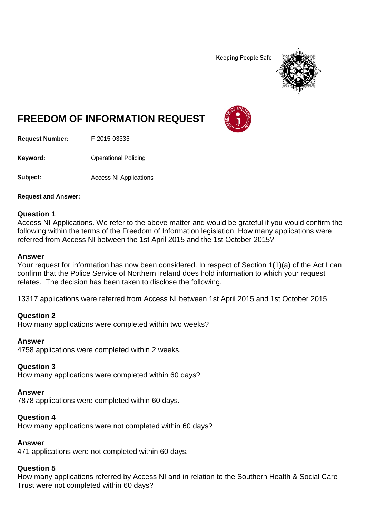**Keeping People Safe** 



# **FREEDOM OF INFORMATION REQUEST**

**Request Number:** F-2015-03335

**Keyword:** Operational Policing

**Subject:** Access NI Applications

**Request and Answer:**

#### **Question 1**

Access NI Applications. We refer to the above matter and would be grateful if you would confirm the following within the terms of the Freedom of Information legislation: How many applications were referred from Access NI between the 1st April 2015 and the 1st October 2015?

#### **Answer**

Your request for information has now been considered. In respect of Section 1(1)(a) of the Act I can confirm that the Police Service of Northern Ireland does hold information to which your request relates. The decision has been taken to disclose the following.

13317 applications were referred from Access NI between 1st April 2015 and 1st October 2015.

#### **Question 2**

How many applications were completed within two weeks?

#### **Answer**

4758 applications were completed within 2 weeks.

#### **Question 3**

How many applications were completed within 60 days?

#### **Answer**

7878 applications were completed within 60 days.

### **Question 4**

How many applications were not completed within 60 days?

#### **Answer**

471 applications were not completed within 60 days.

## **Question 5**

How many applications referred by Access NI and in relation to the Southern Health & Social Care Trust were not completed within 60 days?